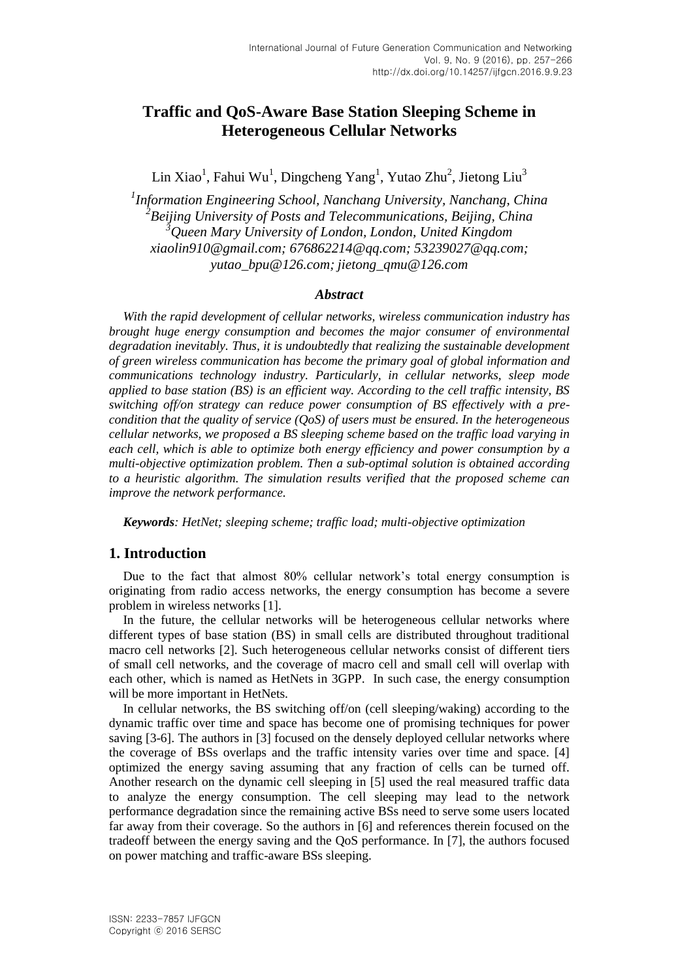# **Traffic and QoS-Aware Base Station Sleeping Scheme in Heterogeneous Cellular Networks**

Lin Xiao<sup>1</sup>, Fahui Wu<sup>1</sup>, Dingcheng Yang<sup>1</sup>, Yutao Zhu<sup>2</sup>, Jietong Liu<sup>3</sup>

*1 Information Engineering School, Nanchang University, Nanchang, China 2 Beijing University of Posts and Telecommunications, Beijing, China <sup>3</sup>Queen Mary University of London, London, United Kingdom xiaolin910@gmail.com; 676862214@qq.com; 53239027@qq.com; yutao\_bpu@126.com; jietong\_qmu@126.com*

## *Abstract*

*With the rapid development of cellular networks, wireless communication industry has brought huge energy consumption and becomes the major consumer of environmental degradation inevitably. Thus, it is undoubtedly that realizing the sustainable development of green wireless communication has become the primary goal of global information and communications technology industry. Particularly, in cellular networks, sleep mode applied to base station (BS) is an efficient way. According to the cell traffic intensity, BS switching off/on strategy can reduce power consumption of BS effectively with a precondition that the quality of service (QoS) of users must be ensured. In the heterogeneous cellular networks, we proposed a BS sleeping scheme based on the traffic load varying in each cell, which is able to optimize both energy efficiency and power consumption by a multi-objective optimization problem. Then a sub-optimal solution is obtained according to a heuristic algorithm. The simulation results verified that the proposed scheme can improve the network performance.*

*Keywords: HetNet; sleeping scheme; traffic load; multi-objective optimization*

# **1. Introduction**

Due to the fact that almost 80% cellular network's total energy consumption is originating from radio access networks, the energy consumption has become a severe problem in wireless networks [1].

In the future, the cellular networks will be heterogeneous cellular networks where different types of base station (BS) in small cells are distributed throughout traditional macro cell networks [2]. Such heterogeneous cellular networks consist of different tiers of small cell networks, and the coverage of macro cell and small cell will overlap with each other, which is named as HetNets in 3GPP. In such case, the energy consumption will be more important in HetNets.

In cellular networks, the BS switching off/on (cell sleeping/waking) according to the dynamic traffic over time and space has become one of promising techniques for power saving [3-6]. The authors in [3] focused on the densely deployed cellular networks where the coverage of BSs overlaps and the traffic intensity varies over time and space. [4] optimized the energy saving assuming that any fraction of cells can be turned off. Another research on the dynamic cell sleeping in [5] used the real measured traffic data to analyze the energy consumption. The cell sleeping may lead to the network performance degradation since the remaining active BSs need to serve some users located far away from their coverage. So the authors in [6] and references therein focused on the tradeoff between the energy saving and the QoS performance. In [7], the authors focused on power matching and traffic-aware BSs sleeping.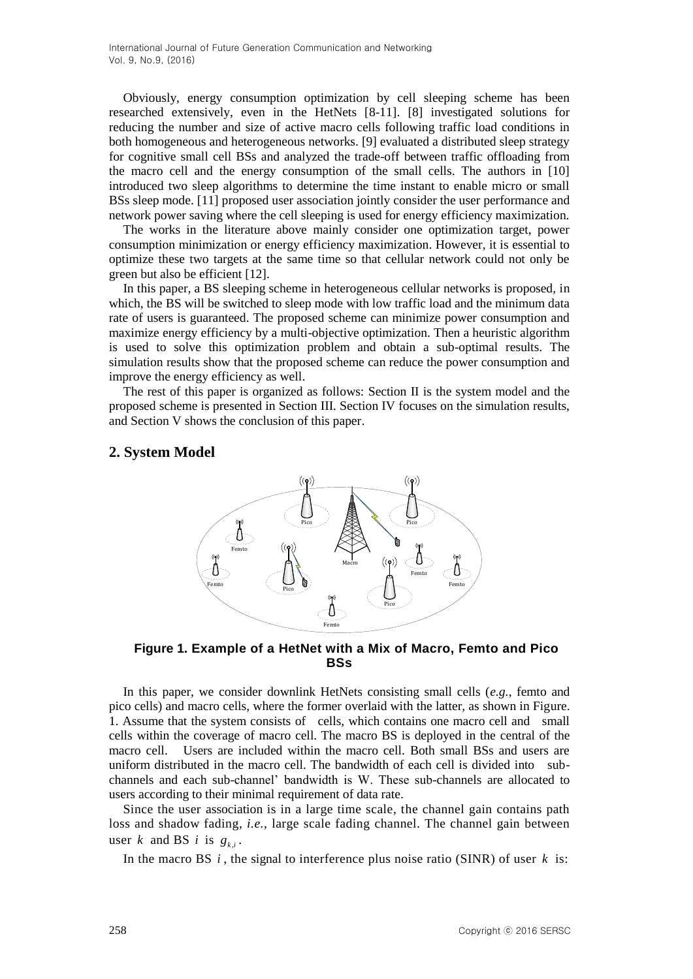Obviously, energy consumption optimization by cell sleeping scheme has been researched extensively, even in the HetNets [8-11]. [8] investigated solutions for reducing the number and size of active macro cells following traffic load conditions in both homogeneous and heterogeneous networks. [9] evaluated a distributed sleep strategy for cognitive small cell BSs and analyzed the trade-off between traffic offloading from the macro cell and the energy consumption of the small cells. The authors in [10] introduced two sleep algorithms to determine the time instant to enable micro or small BSs sleep mode. [11] proposed user association jointly consider the user performance and network power saving where the cell sleeping is used for energy efficiency maximization.

The works in the literature above mainly consider one optimization target, power consumption minimization or energy efficiency maximization. However, it is essential to optimize these two targets at the same time so that cellular network could not only be green but also be efficient [12].

In this paper, a BS sleeping scheme in heterogeneous cellular networks is proposed, in which, the BS will be switched to sleep mode with low traffic load and the minimum data rate of users is guaranteed. The proposed scheme can minimize power consumption and maximize energy efficiency by a multi-objective optimization. Then a heuristic algorithm is used to solve this optimization problem and obtain a sub-optimal results. The simulation results show that the proposed scheme can reduce the power consumption and improve the energy efficiency as well.

The rest of this paper is organized as follows: Section II is the system model and the proposed scheme is presented in Section III. Section IV focuses on the simulation results, and Section V shows the conclusion of this paper.

## **2. System Model**



**Figure 1. Example of a HetNet with a Mix of Macro, Femto and Pico BSs**

In this paper, we consider downlink HetNets consisting small cells (*e.g.*, femto and pico cells) and macro cells, where the former overlaid with the latter, as shown in Figure. 1. Assume that the system consists of cells, which contains one macro cell and small cells within the coverage of macro cell. The macro BS is deployed in the central of the macro cell. Users are included within the macro cell. Both small BSs and users are uniform distributed in the macro cell. The bandwidth of each cell is divided into subchannels and each sub-channel' bandwidth is W. These sub-channels are allocated to users according to their minimal requirement of data rate.

Since the user association is in a large time scale, the channel gain contains path loss and shadow fading, *i.e.*, large scale fading channel. The channel gain between user *k* and BS *i* is  $g_{k,i}$ .

In the macro BS  $i$ , the signal to interference plus noise ratio (SINR) of user  $k$  is: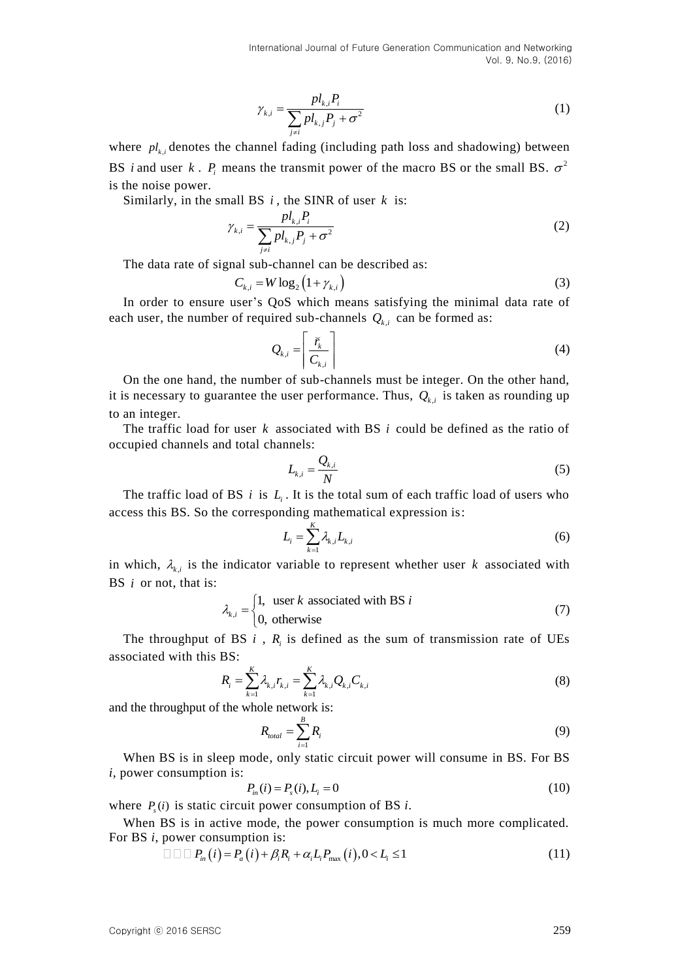$$
\gamma_{k,i} = \frac{pl_{k,i}P_i}{\sum_{j \neq i} pl_{k,j}P_j + \sigma^2}
$$
\n(1)

where  $pl_{k,i}$  denotes the channel fading (including path loss and shadowing) between BS *i* and user *k*.  $P_i$  means the transmit power of the macro BS or the small BS.  $\sigma^2$ is the noise power.

Similarly, in the small BS i, the SINR of user k is:

$$
\gamma_{k,i} = \frac{pl_{k,i}P_i}{\sum_{j \neq i} pl_{k,j}P_j + \sigma^2}
$$
\n(2)

The data rate of signal sub-channel can be described as:

$$
C_{k,i} = W \log_2 \left( 1 + \gamma_{k,i} \right) \tag{3}
$$

In order to ensure user's QoS which means satisfying the minimal data rate of each user, the number of required sub-channels  $Q_{k,i}$  can be formed as:

$$
Q_{k,i} = \left\lceil \frac{\breve{r}_k}{C_{k,i}} \right\rceil \tag{4}
$$

On the one hand, the number of sub-channels must be integer. On the other hand, it is necessary to guarantee the user performance. Thus,  $Q_{k,i}$  is taken as rounding up to an integer.

The traffic load for user  $k$  associated with BS  $i$  could be defined as the ratio of occupied channels and total channels:

$$
L_{k,i} = \frac{Q_{k,i}}{N} \tag{5}
$$

The traffic load of BS  $i$  is  $L_i$ . It is the total sum of each traffic load of users who access this BS. So the corresponding mathematical expression is:

$$
L_i = \sum_{k=1}^{K} \lambda_{k,i} L_{k,i} \tag{6}
$$

in which,  $\lambda_{k,i}$  is the indicator variable to represent whether user k associated with BS *i* or not, that is:

$$
\lambda_{k,i} = \begin{cases} 1, & \text{user } k \text{ associated with BS } i \\ 0, & \text{otherwise} \end{cases} \tag{7}
$$

The throughput of BS  $i$ ,  $R_i$  is defined as the sum of transmission rate of UEs associated with this BS:

$$
R_{i} = \sum_{k=1}^{K} \lambda_{k,i} r_{k,i} = \sum_{k=1}^{K} \lambda_{k,i} Q_{k,i} C_{k,i}
$$
(8)

and the throughput of the whole network is:

$$
R_{total} = \sum_{i=1}^{B} R_i
$$
 (9)

When BS is in sleep mode, only static circuit power will consume in BS. For BS *i*, power consumption is:

$$
P_{in}(i) = P_s(i), L_i = 0 \tag{10}
$$

where  $P_s(i)$  is static circuit power consumption of BS *i*.

When BS is in active mode, the power consumption is much more complicated. For BS *i*, power consumption is:

power consumption is:  
\n
$$
\Box \Box \Box P_{in}(i) = P_a(i) + \beta_i R_i + \alpha_i L_i P_{max}(i), 0 < L_i \le 1
$$
\n(11)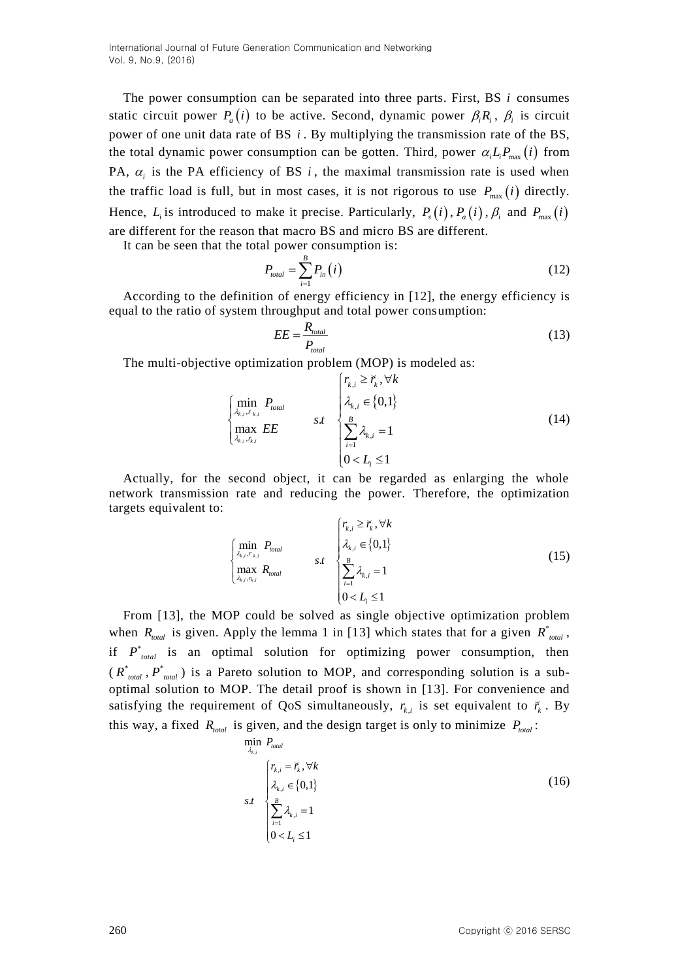The power consumption can be separated into three parts. First, BS *i* consumes static circuit power  $P_a(i)$  to be active. Second, dynamic power  $\beta_i R_i$ ,  $\beta_i$  is circuit power of one unit data rate of BS *i*. By multiplying the transmission rate of the BS, the total dynamic power consumption can be gotten. Third, power  $\alpha_i L_i P_{\text{max}}(i)$  from PA,  $\alpha_i$  is the PA efficiency of BS  $i$ , the maximal transmission rate is used when the traffic load is full, but in most cases, it is not rigorous to use  $P_{\text{max}}(i)$  directly. Hence,  $L_i$  is introduced to make it precise. Particularly,  $P_s(i)$ ,  $P_a(i)$ ,  $\beta_i$  and  $P_{max}(i)$ are different for the reason that macro BS and micro BS are different.

It can be seen that the total power consumption is:

$$
P_{total} = \sum_{i=1}^{B} P_{in}(i) \tag{12}
$$

According to the definition of energy efficiency in [12], the energy efficiency is equal to the ratio of system throughput and total power consumption:

$$
EE = \frac{R_{total}}{P_{total}}
$$
\n(13)

The multi-objective optimization problem (MOP) is modeled as:<br> $\begin{aligned} \left[ r_{k,i} \geq \bar{r}_k, \forall k \right] \end{aligned}$ 

$$
\begin{cases}\n\min_{\lambda_{k,i},r_{k,i}} P_{total} \\
\max_{\lambda_{k,i},r_{k,i}} EE\n\end{cases}\n\quad\n\text{s.t}\n\quad\n\begin{cases}\n\tau_{k,i} \geq \overline{r}_k, \forall k \\
\lambda_{k,i} \in \{0,1\} \\
\sum_{i=1}^{B} \lambda_{k,i} = 1 \\
0 < L_i \leq 1\n\end{cases}\n\tag{14}
$$

Actually, for the second object, it can be regarded as enlarging the whole network transmission rate and reducing the power. Therefore, the optimization targets equivalent to:

$$
\begin{cases}\n\min_{\lambda_{k,i},r_{k,i}} P_{total} & \quad \text{if } \lambda_{k,i} \in \{0,1\} \\
\max_{\lambda_{k,i},r_{k,i}} R_{total} & \quad \text{if } \sum_{i=1}^{B} \lambda_{k,i} = 1 \\
0 < L_i \le 1\n\end{cases} \tag{15}
$$

From [13], the MOP could be solved as single objective optimization problem when  $R_{total}$  is given. Apply the lemma 1 in [13] which states that for a given  $R_{total}^*$ , if  $P^*_{total}$  is an optimal solution for optimizing power consumption, then  $(R^*_{total}, P^*_{total})$  is a Pareto solution to MOP, and corresponding solution is a suboptimal solution to MOP. The detail proof is shown in [13]. For convenience and satisfying the requirement of QoS simultaneously,  $r_{k,i}$  is set equivalent to  $\tilde{r}_k$ . By this way, a fixed  $R_{total}$  is given, and the design target is only to minimize  $P_{total}$ :

$$
\min_{\lambda_{k,i}} P_{total}
$$
\n
$$
F_{k,i} = \tilde{r}_k, \forall k
$$
\n
$$
s.t
$$
\n
$$
\begin{cases}\n r_{k,i} = \tilde{r}_k, \forall k \\
 \lambda_{k,i} \in \{0,1\} \\
 \sum_{i=1}^{B} \lambda_{k,i} = 1 \\
 0 < L_i \le 1\n\end{cases}
$$
\n(16)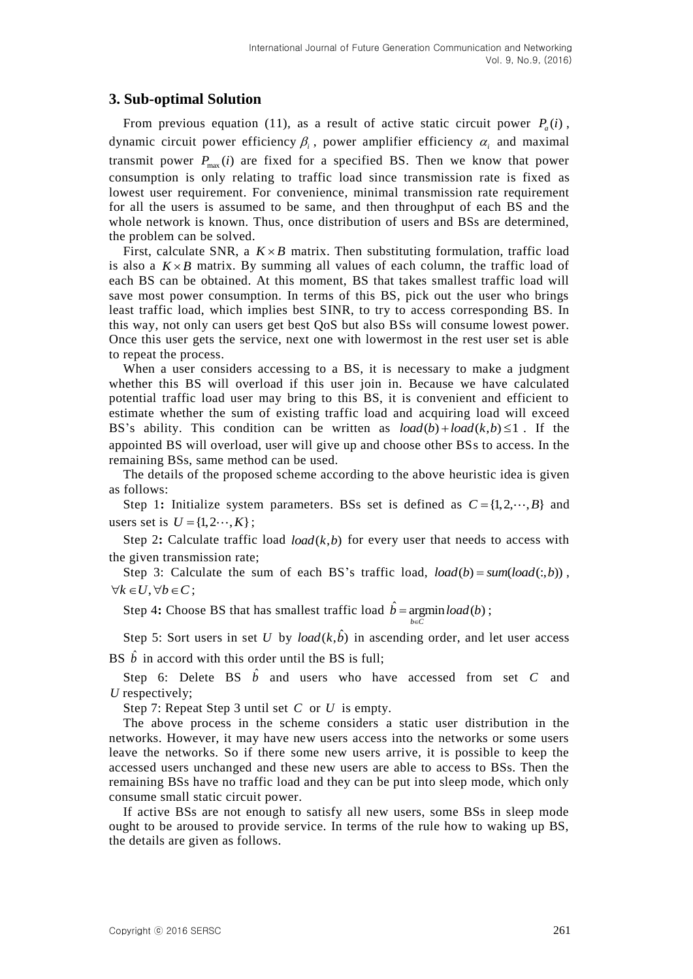# **3. Sub-optimal Solution**

From previous equation (11), as a result of active static circuit power  $P_a(i)$ , dynamic circuit power efficiency  $\beta$ , power amplifier efficiency  $\alpha$ , and maximal transmit power  $P_{\text{max}}(i)$  are fixed for a specified BS. Then we know that power consumption is only relating to traffic load since transmission rate is fixed as lowest user requirement. For convenience, minimal transmission rate requirement for all the users is assumed to be same, and then throughput of each BS and the whole network is known. Thus, once distribution of users and BSs are determined, the problem can be solved.

First, calculate SNR, a  $K \times B$  matrix. Then substituting formulation, traffic load is also a  $K \times B$  matrix. By summing all values of each column, the traffic load of each BS can be obtained. At this moment, BS that takes smallest traffic load will save most power consumption. In terms of this BS, pick out the user who brings least traffic load, which implies best SINR, to try to access corresponding BS. In this way, not only can users get best QoS but also BSs will consume lowest power. Once this user gets the service, next one with lowermost in the rest user set is able to repeat the process.

When a user considers accessing to a BS, it is necessary to make a judgment whether this BS will overload if this user join in. Because we have calculated potential traffic load user may bring to this BS, it is convenient and efficient to estimate whether the sum of existing traffic load and acquiring load will exceed BS's ability. This condition can be written as  $load(b) + load(k, b) \le 1$ . If the appointed BS will overload, user will give up and choose other BSs to access. In the remaining BSs, same method can be used.

The details of the proposed scheme according to the above heuristic idea is given as follows:

Step 1: Initialize system parameters. BSs set is defined as  $C = \{1, 2, \dots, B\}$  and users set is  $U = \{1, 2 \cdots, K\}$ ;

Step 2: Calculate traffic load  $load(k, b)$  for every user that needs to access with the given transmission rate;

Step 3: Calculate the sum of each BS's traffic load,  $load(b) = sumload(:, b))$ ,  $\forall k \in U, \forall b \in C;$ 

Step 4: Choose BS that has smallest traffic load  $\hat{b} = \text{argmin} load(b)$ ;  $b \in C$ 

Step 5: Sort users in set U by  $load(k, \hat{b})$  in ascending order, and let user access BS  $\hat{b}$  in accord with this order until the BS is full;

ΙE

Step 6: Delete BS  $\hat{b}$  and users who have accessed from set C and *U* respectively;

Step 7: Repeat Step 3 until set C or U is empty.

The above process in the scheme considers a static user distribution in the networks. However, it may have new users access into the networks or some users leave the networks. So if there some new users arrive, it is possible to keep the accessed users unchanged and these new users are able to access to BSs. Then the remaining BSs have no traffic load and they can be put into sleep mode, which only consume small static circuit power.

If active BSs are not enough to satisfy all new users, some BSs in sleep mode ought to be aroused to provide service. In terms of the rule how to waking up BS, the details are given as follows.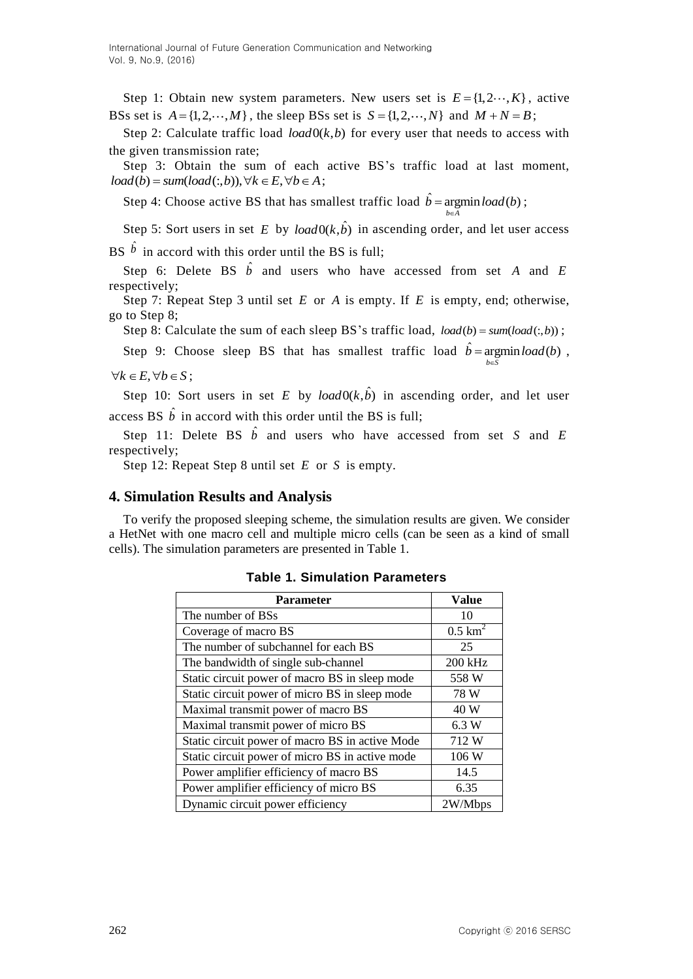Step 1: Obtain new system parameters. New users set is  $E = \{1, 2, \dots, K\}$ , active BSs set is  $A = \{1, 2, \dots, M\}$ , the sleep BSs set is  $S = \{1, 2, \dots, N\}$  and  $M + N = B$ ;

Step 2: Calculate traffic load  $load0(k, b)$  for every user that needs to access with the given transmission rate;

Step 3: Obtain the sum of each active BS's traffic load at last moment, Step 3: Obtain the sum of each a *load* (*b*) = *sum*(*load*(*c*,*b*)),  $\forall k \in E, \forall b \in A$ ;

Step 4: Choose active BS that has smallest traffic load  $\hat{b} = \text{argmin} \text{load}(b)$ ;  $b \in A$ ÞΕ

Step 5: Sort users in set E by  $load0(k, \hat{b})$  in ascending order, and let user access BS  $\hat{b}$  in accord with this order until the BS is full;

Step 6: Delete BS  $\hat{b}$  and users who have accessed from set *A* and *E* respectively;

Step 7: Repeat Step 3 until set  $E$  or  $A$  is empty. If  $E$  is empty, end; otherwise, go to Step 8;

Step 8: Calculate the sum of each sleep BS's traffic load,  $load(b) = sumload(:,b))$ ;

Step 9: Choose sleep BS that has smallest traffic load  $\hat{b} = \text{argmin} load(b)$ ,  $b \in \overline{S}$ 

 $\forall k \in E, \forall b \in S;$ 

Step 10: Sort users in set E by  $load0(k, \hat{b})$  in ascending order, and let user access BS  $\hat{b}$  in accord with this order until the BS is full;

Step 11: Delete BS  $\hat{b}$  and users who have accessed from set S and E respectively;

Step 12: Repeat Step 8 until set E or S is empty.

## **4. Simulation Results and Analysis**

To verify the proposed sleeping scheme, the simulation results are given. We consider a HetNet with one macro cell and multiple micro cells (can be seen as a kind of small cells). The simulation parameters are presented in Table 1.

| <b>Parameter</b>                                | Value                 |
|-------------------------------------------------|-----------------------|
| The number of BSs                               | 10                    |
| Coverage of macro BS                            | $0.5$ km <sup>2</sup> |
| The number of subchannel for each BS            | 25                    |
| The bandwidth of single sub-channel             | 200 kHz               |
| Static circuit power of macro BS in sleep mode  | 558 W                 |
| Static circuit power of micro BS in sleep mode  | 78 W                  |
| Maximal transmit power of macro BS              | 40 W                  |
| Maximal transmit power of micro BS              | 6.3 W                 |
| Static circuit power of macro BS in active Mode | 712 W                 |
| Static circuit power of micro BS in active mode | 106 W                 |
| Power amplifier efficiency of macro BS          | 14.5                  |
| Power amplifier efficiency of micro BS          | 6.35                  |
| Dynamic circuit power efficiency                | 2W/Mbps               |

**Table 1. Simulation Parameters**

 $\epsilon$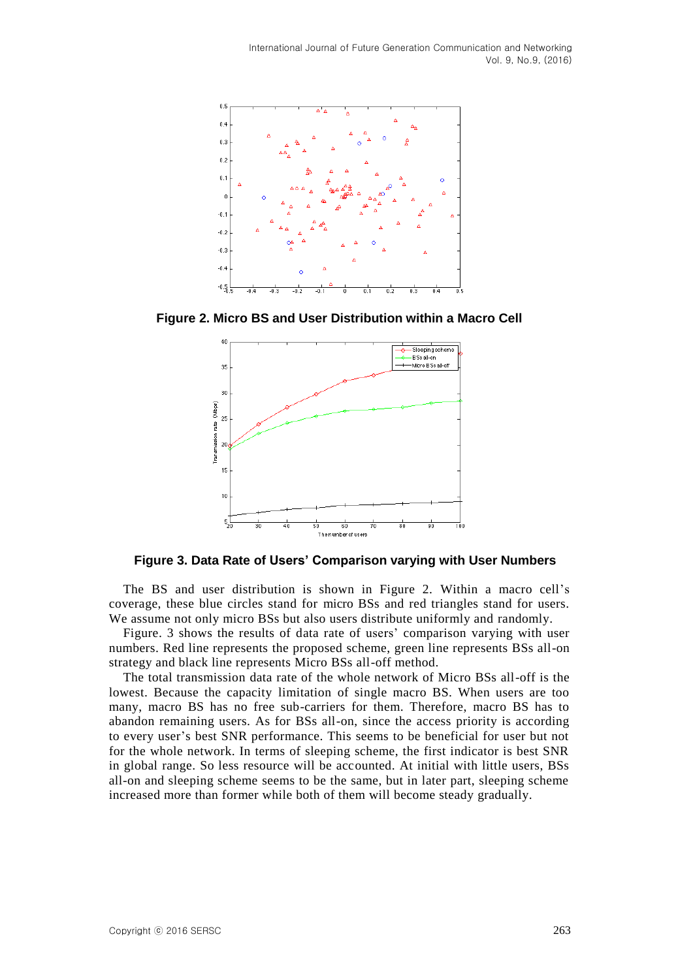

**Figure 2. Micro BS and User Distribution within a Macro Cell**



**Figure 3. Data Rate of Users' Comparison varying with User Numbers**

The BS and user distribution is shown in Figure 2. Within a macro cell's coverage, these blue circles stand for micro BSs and red triangles stand for users. We assume not only micro BSs but also users distribute uniformly and randomly.

Figure. 3 shows the results of data rate of users' comparison varying with user numbers. Red line represents the proposed scheme, green line represents BSs all-on strategy and black line represents Micro BSs all-off method.

The total transmission data rate of the whole network of Micro BSs all-off is the lowest. Because the capacity limitation of single macro BS. When users are too many, macro BS has no free sub-carriers for them. Therefore, macro BS has to abandon remaining users. As for BSs all-on, since the access priority is according to every user's best SNR performance. This seems to be beneficial for user but not for the whole network. In terms of sleeping scheme, the first indicator is best SNR in global range. So less resource will be accounted. At initial with little users, BSs all-on and sleeping scheme seems to be the same, but in later part, sleeping scheme increased more than former while both of them will become steady gradually.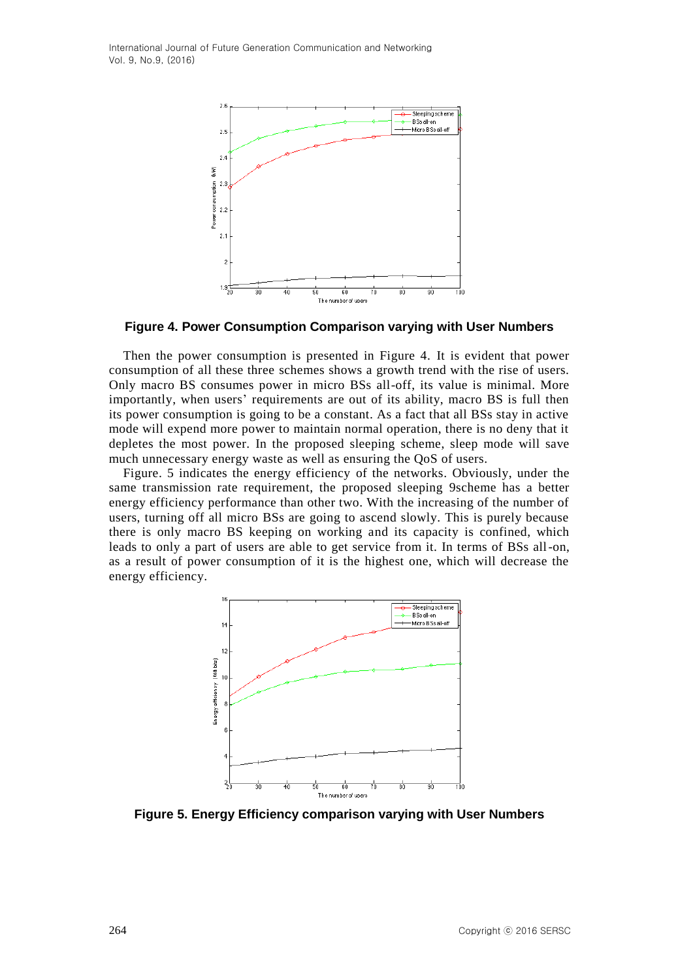

**Figure 4. Power Consumption Comparison varying with User Numbers**

Then the power consumption is presented in Figure 4. It is evident that power consumption of all these three schemes shows a growth trend with the rise of users. Only macro BS consumes power in micro BSs all-off, its value is minimal. More importantly, when users' requirements are out of its ability, macro BS is full then its power consumption is going to be a constant. As a fact that all BSs stay in active mode will expend more power to maintain normal operation, there is no deny that it depletes the most power. In the proposed sleeping scheme, sleep mode will save much unnecessary energy waste as well as ensuring the QoS of users.

Figure. 5 indicates the energy efficiency of the networks. Obviously, under the same transmission rate requirement, the proposed sleeping 9scheme has a better energy efficiency performance than other two. With the increasing of the number of users, turning off all micro BSs are going to ascend slowly. This is purely because there is only macro BS keeping on working and its capacity is confined, which leads to only a part of users are able to get service from it. In terms of BSs all-on, as a result of power consumption of it is the highest one, which will decrease the energy efficiency.



**Figure 5. Energy Efficiency comparison varying with User Numbers**